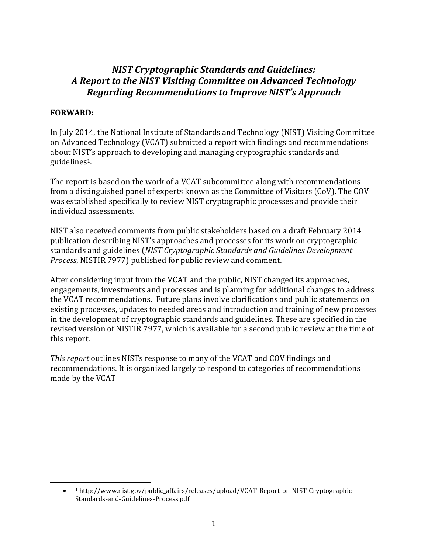### *NIST Cryptographic Standards and Guidelines: A Report to the NIST Visiting Committee on Advanced Technology Regarding Recommendations to Improve NIST's Approach*

#### **FORWARD:**

 $\overline{\phantom{a}}$ 

In July 2014, the National Institute of Standards and Technology (NIST) Visiting Committee on Advanced Technology (VCAT) submitted a report with findings and recommendations about NIST's approach to developing and managing cryptographic standards and guidelines1.

The report is based on the work of a VCAT subcommittee along with recommendations from a distinguished panel of experts known as the Committee of Visitors (CoV). The COV was established specifically to review NIST cryptographic processes and provide their individual assessments.

NIST also received comments from public stakeholders based on a draft February 2014 publication describing NIST's approaches and processes for its work on cryptographic standards and guidelines (*NIST Cryptographic Standards and Guidelines Development Process*, NISTIR 7977) published for public review and comment.

After considering input from the VCAT and the public, NIST changed its approaches, engagements, investments and processes and is planning for additional changes to address the VCAT recommendations. Future plans involve clarifications and public statements on existing processes, updates to needed areas and introduction and training of new processes in the development of cryptographic standards and guidelines. These are specified in the revised version of NISTIR 7977, which is available for a second public review at the time of this report.

*This report* outlines NISTs response to many of the VCAT and COV findings and recommendations. It is organized largely to respond to categories of recommendations made by the VCAT

 $\bullet$ <sup>1</sup> http://www.nist.gov/public\_affairs/releases/upload/VCAT-Report-on-NIST-Cryptographic-Standards-and-Guidelines-Process.pdf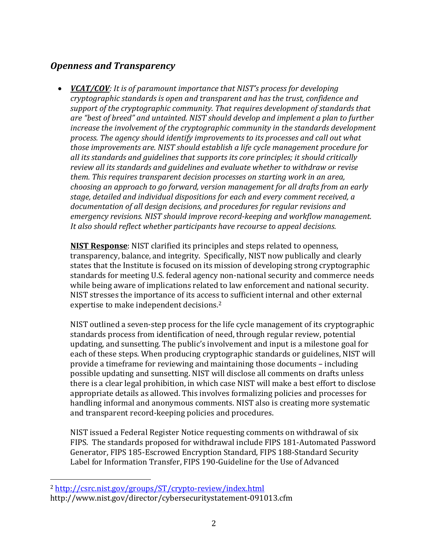## *Openness and Transparency*

 *VCAT/COV: It is of paramount importance that NIST's process for developing cryptographic standards is open and transparent and has the trust, confidence and support of the cryptographic community. That requires development of standards that are "best of breed" and untainted. NIST should develop and implement a plan to further increase the involvement of the cryptographic community in the standards development process. The agency should identify improvements to its processes and call out what those improvements are. NIST should establish a life cycle management procedure for all its standards and guidelines that supports its core principles; it should critically review all its standards and guidelines and evaluate whether to withdraw or revise them. This requires transparent decision processes on starting work in an area, choosing an approach to go forward, version management for all drafts from an early stage, detailed and individual dispositions for each and every comment received, a documentation of all design decisions, and procedures for regular revisions and emergency revisions. NIST should improve record-keeping and workflow management. It also should reflect whether participants have recourse to appeal decisions.*

**NIST Response**: NIST clarified its principles and steps related to openness, transparency, balance, and integrity. Specifically, NIST now publically and clearly states that the Institute is focused on its mission of developing strong cryptographic standards for meeting U.S. federal agency non-national security and commerce needs while being aware of implications related to law enforcement and national security. NIST stresses the importance of its access to sufficient internal and other external expertise to make independent decisions.<sup>2</sup>

NIST outlined a seven-step process for the life cycle management of its cryptographic standards process from identification of need, through regular review, potential updating, and sunsetting. The public's involvement and input is a milestone goal for each of these steps. When producing cryptographic standards or guidelines, NIST will provide a timeframe for reviewing and maintaining those documents – including possible updating and sunsetting. NIST will disclose all comments on drafts unless there is a clear legal prohibition, in which case NIST will make a best effort to disclose appropriate details as allowed. This involves formalizing policies and processes for handling informal and anonymous comments. NIST also is creating more systematic and transparent record-keeping policies and procedures.

NIST issued a Federal Register Notice requesting comments on withdrawal of six FIPS. The standards proposed for withdrawal include FIPS 181-Automated Password Generator, FIPS 185-Escrowed Encryption Standard, FIPS 188-Standard Security Label for Information Transfer, FIPS 190-Guideline for the Use of Advanced

 $\overline{\phantom{a}}$ 

<sup>2</sup> <http://csrc.nist.gov/groups/ST/crypto-review/index.html>

http://www.nist.gov/director/cybersecuritystatement-091013.cfm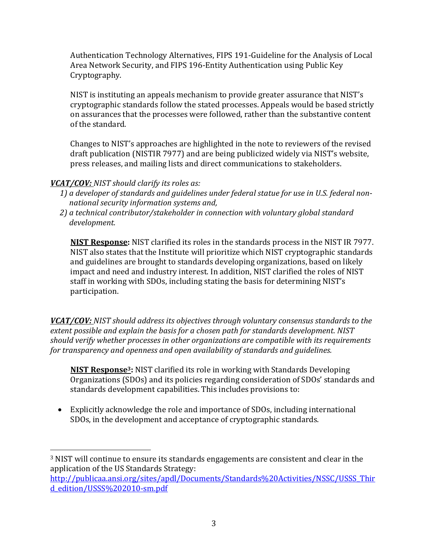Authentication Technology Alternatives, FIPS 191-Guideline for the Analysis of Local Area Network Security, and FIPS 196-Entity Authentication using Public Key Cryptography.

NIST is instituting an appeals mechanism to provide greater assurance that NIST's cryptographic standards follow the stated processes. Appeals would be based strictly on assurances that the processes were followed, rather than the substantive content of the standard.

Changes to NIST's approaches are highlighted in the note to reviewers of the revised draft publication (NISTIR 7977) and are being publicized widely via NIST's website, press releases, and mailing lists and direct communications to stakeholders.

#### *VCAT/COV: NIST should clarify its roles as:*

l

- *1) a developer of standards and guidelines under federal statue for use in U.S. federal nonnational security information systems and,*
- *2) a technical contributor/stakeholder in connection with voluntary global standard development.*

**NIST Response:** NIST clarified its roles in the standards process in the NIST IR 7977. NIST also states that the Institute will prioritize which NIST cryptographic standards and guidelines are brought to standards developing organizations, based on likely impact and need and industry interest. In addition, NIST clarified the roles of NIST staff in working with SDOs, including stating the basis for determining NIST's participation.

*VCAT/COV: NIST should address its objectives through voluntary consensus standards to the extent possible and explain the basis for a chosen path for standards development. NIST should verify whether processes in other organizations are compatible with its requirements for transparency and openness and open availability of standards and guidelines.*

**NIST Response3:** NIST clarified its role in working with Standards Developing Organizations (SDOs) and its policies regarding consideration of SDOs' standards and standards development capabilities. This includes provisions to:

 Explicitly acknowledge the role and importance of SDOs, including international SDOs, in the development and acceptance of cryptographic standards.

[http://publicaa.ansi.org/sites/apdl/Documents/Standards%20Activities/NSSC/USSS\\_Thir](http://publicaa.ansi.org/sites/apdl/Documents/Standards%20Activities/NSSC/USSS_Third_edition/USSS%202010-sm.pdf) [d\\_edition/USSS%202010-sm.pdf](http://publicaa.ansi.org/sites/apdl/Documents/Standards%20Activities/NSSC/USSS_Third_edition/USSS%202010-sm.pdf)

<sup>3</sup> NIST will continue to ensure its standards engagements are consistent and clear in the application of the US Standards Strategy: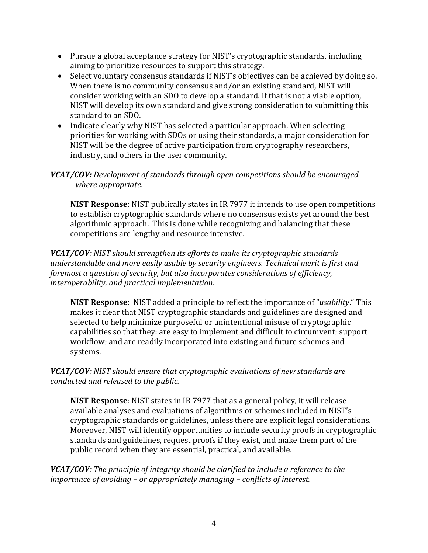- Pursue a global acceptance strategy for NIST's cryptographic standards, including aiming to prioritize resources to support this strategy.
- Select voluntary consensus standards if NIST's objectives can be achieved by doing so. When there is no community consensus and/or an existing standard, NIST will consider working with an SDO to develop a standard. If that is not a viable option, NIST will develop its own standard and give strong consideration to submitting this standard to an SDO.
- Indicate clearly why NIST has selected a particular approach. When selecting priorities for working with SDOs or using their standards, a major consideration for NIST will be the degree of active participation from cryptography researchers, industry, and others in the user community.

#### *VCAT/COV: Development of standards through open competitions should be encouraged where appropriate.*

**NIST Response**: NIST publically states in IR 7977 it intends to use open competitions to establish cryptographic standards where no consensus exists yet around the best algorithmic approach. This is done while recognizing and balancing that these competitions are lengthy and resource intensive.

*VCAT/COV: NIST should strengthen its efforts to make its cryptographic standards understandable and more easily usable by security engineers. Technical merit is first and foremost a question of security, but also incorporates considerations of efficiency, interoperability, and practical implementation.*

**NIST Response**: NIST added a principle to reflect the importance of "*usability*." This makes it clear that NIST cryptographic standards and guidelines are designed and selected to help minimize purposeful or unintentional misuse of cryptographic capabilities so that they: are easy to implement and difficult to circumvent; support workflow; and are readily incorporated into existing and future schemes and systems.

#### *VCAT/COV: NIST should ensure that cryptographic evaluations of new standards are conducted and released to the public.*

**NIST Response**: NIST states in IR 7977 that as a general policy, it will release available analyses and evaluations of algorithms or schemes included in NIST's cryptographic standards or guidelines, unless there are explicit legal considerations. Moreover, NIST will identify opportunities to include security proofs in cryptographic standards and guidelines, request proofs if they exist, and make them part of the public record when they are essential, practical, and available.

*VCAT/COV: The principle of integrity should be clarified to include a reference to the importance of avoiding – or appropriately managing – conflicts of interest.*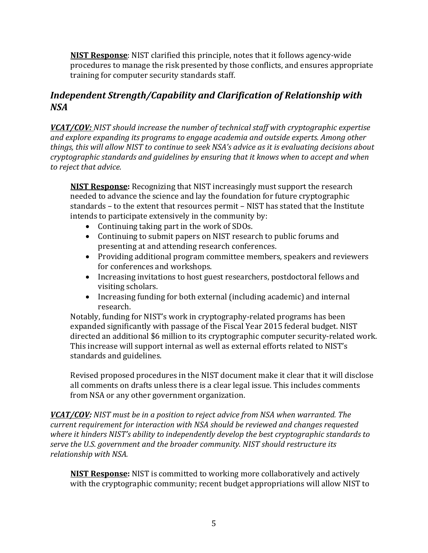**NIST Response**: NIST clarified this principle, notes that it follows agency-wide procedures to manage the risk presented by those conflicts, and ensures appropriate training for computer security standards staff.

## *Independent Strength/Capability and Clarification of Relationship with NSA*

*VCAT/COV: NIST should increase the number of technical staff with cryptographic expertise and explore expanding its programs to engage academia and outside experts. Among other things, this will allow NIST to continue to seek NSA's advice as it is evaluating decisions about cryptographic standards and guidelines by ensuring that it knows when to accept and when to reject that advice.*

**NIST Response:** Recognizing that NIST increasingly must support the research needed to advance the science and lay the foundation for future cryptographic standards – to the extent that resources permit – NIST has stated that the Institute intends to participate extensively in the community by:

- Continuing taking part in the work of SDOs.
- Continuing to submit papers on NIST research to public forums and presenting at and attending research conferences.
- Providing additional program committee members, speakers and reviewers for conferences and workshops.
- Increasing invitations to host guest researchers, postdoctoral fellows and visiting scholars.
- Increasing funding for both external (including academic) and internal research.

Notably, funding for NIST's work in cryptography-related programs has been expanded significantly with passage of the Fiscal Year 2015 federal budget. NIST directed an additional \$6 million to its cryptographic computer security-related work. This increase will support internal as well as external efforts related to NIST's standards and guidelines.

Revised proposed procedures in the NIST document make it clear that it will disclose all comments on drafts unless there is a clear legal issue. This includes comments from NSA or any other government organization.

*VCAT/COV: NIST must be in a position to reject advice from NSA when warranted. The current requirement for interaction with NSA should be reviewed and changes requested where it hinders NIST's ability to independently develop the best cryptographic standards to serve the U.S. government and the broader community. NIST should restructure its relationship with NSA.*

**NIST Response:** NIST is committed to working more collaboratively and actively with the cryptographic community; recent budget appropriations will allow NIST to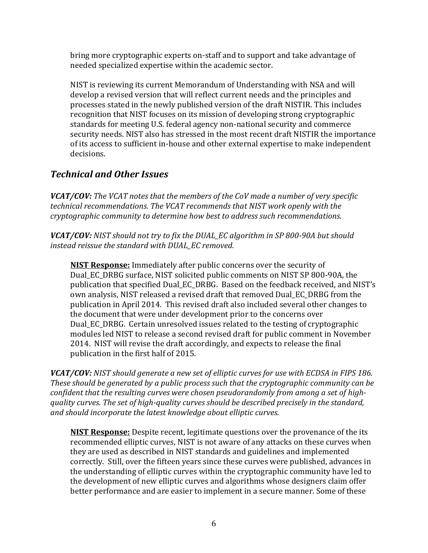bring more cryptographic experts on-staff and to support and take advantage of needed specialized expertise within the academic sector.

NIST is reviewing its current Memorandum of Understanding with NSA and will develop a revised version that will reflect current needs and the principles and processes stated in the newly published version of the draft NISTIR. This includes recognition that NIST focuses on its mission of developing strong cryptographic standards for meeting U.S. federal agency non-national security and commerce security needs. NIST also has stressed in the most recent draft NISTIR the importance of its access to sufficient in-house and other external expertise to make independent decisions.

# *Technical and Other Issues*

*VCAT/COV: The VCAT notes that the members of the CoV made a number of very specific technical recommendations. The VCAT recommends that NIST work openly with the cryptographic community to determine how best to address such recommendations.* 

*VCAT/COV: NIST should not try to fix the DUAL\_EC algorithm in SP 800-90A but should instead reissue the standard with DUAL\_EC removed.*

**NIST Response:** Immediately after public concerns over the security of Dual\_EC\_DRBG surface, NIST solicited public comments on NIST SP 800-90A, the publication that specified Dual\_EC\_DRBG. Based on the feedback received, and NIST's own analysis, NIST released a revised draft that removed Dual\_EC\_DRBG from the publication in April 2014. This revised draft also included several other changes to the document that were under development prior to the concerns over Dual EC DRBG. Certain unresolved issues related to the testing of cryptographic modules led NIST to release a second revised draft for public comment in November 2014. NIST will revise the draft accordingly, and expects to release the final publication in the first half of 2015.

*VCAT/COV: NIST should generate a new set of elliptic curves for use with ECDSA in FIPS 186. These should be generated by a public process such that the cryptographic community can be confident that the resulting curves were chosen pseudorandomly from among a set of highquality curves. The set of high-quality curves should be described precisely in the standard, and should incorporate the latest knowledge about elliptic curves.* 

**NIST Response:** Despite recent, legitimate questions over the provenance of the its recommended elliptic curves, NIST is not aware of any attacks on these curves when they are used as described in NIST standards and guidelines and implemented correctly. Still, over the fifteen years since these curves were published, advances in the understanding of elliptic curves within the cryptographic community have led to the development of new elliptic curves and algorithms whose designers claim offer better performance and are easier to implement in a secure manner. Some of these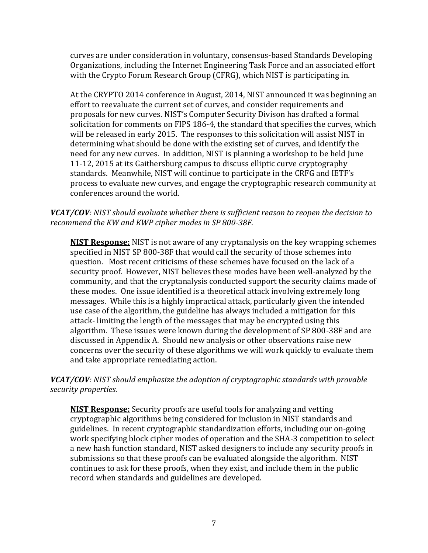curves are under consideration in voluntary, consensus-based Standards Developing Organizations, including the Internet Engineering Task Force and an associated effort with the Crypto Forum Research Group (CFRG), which NIST is participating in.

At the CRYPTO 2014 conference in August, 2014, NIST announced it was beginning an effort to reevaluate the current set of curves, and consider requirements and proposals for new curves. NIST's Computer Security Divison has drafted a formal solicitation for comments on FIPS 186-4, the standard that specifies the curves, which will be released in early 2015. The responses to this solicitation will assist NIST in determining what should be done with the existing set of curves, and identify the need for any new curves. In addition, NIST is planning a workshop to be held June 11-12, 2015 at its Gaithersburg campus to discuss elliptic curve cryptography standards. Meanwhile, NIST will continue to participate in the CRFG and IETF's process to evaluate new curves, and engage the cryptographic research community at conferences around the world.

#### *VCAT/COV: NIST should evaluate whether there is sufficient reason to reopen the decision to recommend the KW and KWP cipher modes in SP 800-38F.*

**NIST Response:** NIST is not aware of any cryptanalysis on the key wrapping schemes specified in NIST SP 800-38F that would call the security of those schemes into question. Most recent criticisms of these schemes have focused on the lack of a security proof. However, NIST believes these modes have been well-analyzed by the community, and that the cryptanalysis conducted support the security claims made of these modes. One issue identified is a theoretical attack involving extremely long messages. While this is a highly impractical attack, particularly given the intended use case of the algorithm, the guideline has always included a mitigation for this attack- limiting the length of the messages that may be encrypted using this algorithm. These issues were known during the development of SP 800-38F and are discussed in Appendix A. Should new analysis or other observations raise new concerns over the security of these algorithms we will work quickly to evaluate them and take appropriate remediating action.

### *VCAT/COV: NIST should emphasize the adoption of cryptographic standards with provable security properties.*

**NIST Response:** Security proofs are useful tools for analyzing and vetting cryptographic algorithms being considered for inclusion in NIST standards and guidelines. In recent cryptographic standardization efforts, including our on-going work specifying block cipher modes of operation and the SHA-3 competition to select a new hash function standard, NIST asked designers to include any security proofs in submissions so that these proofs can be evaluated alongside the algorithm. NIST continues to ask for these proofs, when they exist, and include them in the public record when standards and guidelines are developed.